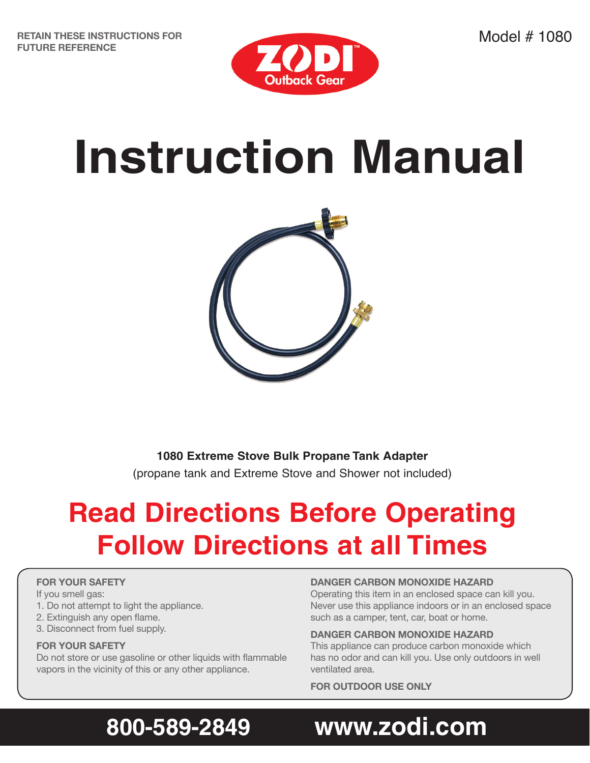

# **Instruction Manual**



**1080 Extreme Stove Bulk Propane Tank Adapter** (propane tank and Extreme Stove and Shower not included)

# **Read Directions Before Operating Follow Directions at all Times**

### **FOR YOUR SAFETY**

If you smell gas:

- 1. Do not attempt to light the appliance.
- 2. Extinguish any open flame.
- 3. Disconnect from fuel supply.

#### **FOR YOUR SAFETY**

Do not store or use gasoline or other liquids with flammable vapors in the vicinity of this or any other appliance.

#### **DANGER CARBON MONOXIDE HAZARD**

Operating this item in an enclosed space can kill you. Never use this appliance indoors or in an enclosed space such as a camper, tent, car, boat or home.

#### **DANGER CARBON MONOXIDE HAZARD**

This appliance can produce carbon monoxide which has no odor and can kill you. Use only outdoors in well ventilated area.

**FOR OUTDOOR USE ONLY**

## **800-589-2849 www.zodi.com**